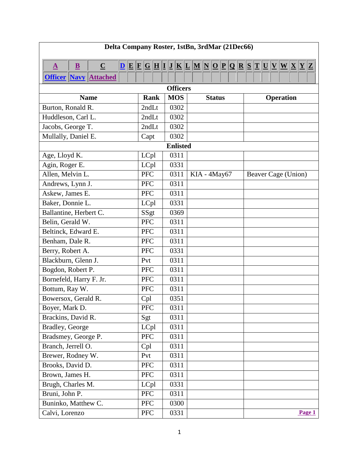<span id="page-0-4"></span><span id="page-0-3"></span><span id="page-0-2"></span><span id="page-0-1"></span><span id="page-0-0"></span>

| Delta Company Roster, 1stBn, 3rdMar (21Dec66)                    |             |                 |               |                                                                                                                                                                                                                                                                                                                                                                                                                                                                                                                                                                                                         |  |
|------------------------------------------------------------------|-------------|-----------------|---------------|---------------------------------------------------------------------------------------------------------------------------------------------------------------------------------------------------------------------------------------------------------------------------------------------------------------------------------------------------------------------------------------------------------------------------------------------------------------------------------------------------------------------------------------------------------------------------------------------------------|--|
| $\underline{\mathbf{B}}$<br>$\underline{\mathbf{C}}$<br>$\Delta$ |             |                 |               | $\boxed{\underline{\mathbf{D}} \, [\underline{\mathbf{E}} \, [\underline{\mathbf{F}} \, \underline{\mathbf{G}} \, \underline{\mathbf{H}} \,] \underline{\mathbf{I}} \, [\underline{\mathbf{I}} \, \underline{\mathbf{K}} \, [\underline{\mathbf{L}} \, \underline{\mathbf{M}} \, \underline{\mathbf{N}} \, \underline{\mathbf{O}} \, \underline{\mathbf{P}} \, \underline{\mathbf{Q}} \, ] \underline{\mathbf{R}} \, [\underline{\mathbf{S}} \, \underline{\mathbf{T}} \, \underline{\mathbf{U}} \, \underline{\mathbf{V}} \, \underline{\mathbf{W}} \, \underline{\mathbf{X}} \, \underline{\mathbf{Y$ |  |
| <b>Officer Navy Attached</b>                                     |             |                 |               |                                                                                                                                                                                                                                                                                                                                                                                                                                                                                                                                                                                                         |  |
|                                                                  |             | <b>Officers</b> |               |                                                                                                                                                                                                                                                                                                                                                                                                                                                                                                                                                                                                         |  |
| <b>Name</b>                                                      | <b>Rank</b> | <b>MOS</b>      | <b>Status</b> | <b>Operation</b>                                                                                                                                                                                                                                                                                                                                                                                                                                                                                                                                                                                        |  |
| Burton, Ronald R.                                                | 2ndLt       | 0302            |               |                                                                                                                                                                                                                                                                                                                                                                                                                                                                                                                                                                                                         |  |
| Huddleson, Carl L.                                               | 2ndLt       | 0302            |               |                                                                                                                                                                                                                                                                                                                                                                                                                                                                                                                                                                                                         |  |
| Jacobs, George T.                                                | 2ndLt       | 0302            |               |                                                                                                                                                                                                                                                                                                                                                                                                                                                                                                                                                                                                         |  |
| Mullally, Daniel E.                                              | Capt        | 0302            |               |                                                                                                                                                                                                                                                                                                                                                                                                                                                                                                                                                                                                         |  |
|                                                                  |             | <b>Enlisted</b> |               |                                                                                                                                                                                                                                                                                                                                                                                                                                                                                                                                                                                                         |  |
| Age, Lloyd K.                                                    | LCpl        | 0311            |               |                                                                                                                                                                                                                                                                                                                                                                                                                                                                                                                                                                                                         |  |
| Agin, Roger E.                                                   | LCpl        | 0331            |               |                                                                                                                                                                                                                                                                                                                                                                                                                                                                                                                                                                                                         |  |
| Allen, Melvin L.                                                 | <b>PFC</b>  | 0311            | KIA - 4May67  | Beaver Cage (Union)                                                                                                                                                                                                                                                                                                                                                                                                                                                                                                                                                                                     |  |
| Andrews, Lynn J.                                                 | <b>PFC</b>  | 0311            |               |                                                                                                                                                                                                                                                                                                                                                                                                                                                                                                                                                                                                         |  |
| Askew, James E.                                                  | <b>PFC</b>  | 0311            |               |                                                                                                                                                                                                                                                                                                                                                                                                                                                                                                                                                                                                         |  |
| Baker, Donnie L.                                                 | LCpl        | 0331            |               |                                                                                                                                                                                                                                                                                                                                                                                                                                                                                                                                                                                                         |  |
| Ballantine, Herbert C.                                           | SSgt        | 0369            |               |                                                                                                                                                                                                                                                                                                                                                                                                                                                                                                                                                                                                         |  |
| Belin, Gerald W.                                                 | <b>PFC</b>  | 0311            |               |                                                                                                                                                                                                                                                                                                                                                                                                                                                                                                                                                                                                         |  |
| Beltinck, Edward E.                                              | <b>PFC</b>  | 0311            |               |                                                                                                                                                                                                                                                                                                                                                                                                                                                                                                                                                                                                         |  |
| Benham, Dale R.                                                  | <b>PFC</b>  | 0311            |               |                                                                                                                                                                                                                                                                                                                                                                                                                                                                                                                                                                                                         |  |
| Berry, Robert A.                                                 | <b>PFC</b>  | 0331            |               |                                                                                                                                                                                                                                                                                                                                                                                                                                                                                                                                                                                                         |  |
| Blackburn, Glenn J.                                              | Pvt         | 0311            |               |                                                                                                                                                                                                                                                                                                                                                                                                                                                                                                                                                                                                         |  |
| Bogdon, Robert P.                                                | <b>PFC</b>  | 0311            |               |                                                                                                                                                                                                                                                                                                                                                                                                                                                                                                                                                                                                         |  |
| Bornefeld, Harry F. Jr.                                          | <b>PFC</b>  | 0311            |               |                                                                                                                                                                                                                                                                                                                                                                                                                                                                                                                                                                                                         |  |
| Bottum, Ray W.                                                   | <b>PFC</b>  | 0311            |               |                                                                                                                                                                                                                                                                                                                                                                                                                                                                                                                                                                                                         |  |
| Bowersox, Gerald R.                                              | Cpl         | 0351            |               |                                                                                                                                                                                                                                                                                                                                                                                                                                                                                                                                                                                                         |  |
| Boyer, Mark D.                                                   | <b>PFC</b>  | 0311            |               |                                                                                                                                                                                                                                                                                                                                                                                                                                                                                                                                                                                                         |  |
| Brackins, David R.                                               | Sgt         | 0311            |               |                                                                                                                                                                                                                                                                                                                                                                                                                                                                                                                                                                                                         |  |
| Bradley, George                                                  | LCpl        | 0311            |               |                                                                                                                                                                                                                                                                                                                                                                                                                                                                                                                                                                                                         |  |
| Bradsmey, George P.                                              | <b>PFC</b>  | 0311            |               |                                                                                                                                                                                                                                                                                                                                                                                                                                                                                                                                                                                                         |  |
| Branch, Jerrell O.                                               | Cpl         | 0311            |               |                                                                                                                                                                                                                                                                                                                                                                                                                                                                                                                                                                                                         |  |
| Brewer, Rodney W.                                                | Pvt         | 0311            |               |                                                                                                                                                                                                                                                                                                                                                                                                                                                                                                                                                                                                         |  |
| Brooks, David D.                                                 | <b>PFC</b>  | 0311            |               |                                                                                                                                                                                                                                                                                                                                                                                                                                                                                                                                                                                                         |  |
| Brown, James H.                                                  | <b>PFC</b>  | 0311            |               |                                                                                                                                                                                                                                                                                                                                                                                                                                                                                                                                                                                                         |  |
| Brugh, Charles M.                                                | LCpl        | 0331            |               |                                                                                                                                                                                                                                                                                                                                                                                                                                                                                                                                                                                                         |  |
| Bruni, John P.                                                   | ${\rm PFC}$ | 0311            |               |                                                                                                                                                                                                                                                                                                                                                                                                                                                                                                                                                                                                         |  |
| Buninko, Matthew C.                                              | <b>PFC</b>  | 0300            |               |                                                                                                                                                                                                                                                                                                                                                                                                                                                                                                                                                                                                         |  |
| Calvi, Lorenzo                                                   | <b>PFC</b>  | 0331            |               | Page 1                                                                                                                                                                                                                                                                                                                                                                                                                                                                                                                                                                                                  |  |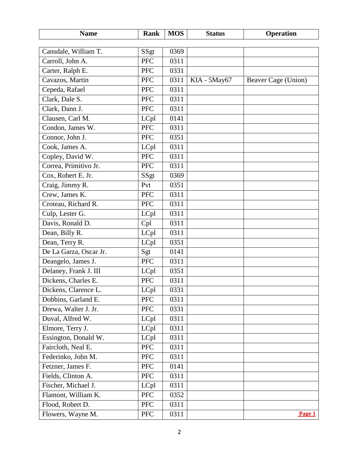<span id="page-1-2"></span><span id="page-1-1"></span><span id="page-1-0"></span>

| <b>Name</b>            | Rank       | <b>MOS</b> | <b>Status</b> | <b>Operation</b>    |
|------------------------|------------|------------|---------------|---------------------|
|                        |            |            |               |                     |
| Cansdale, William T.   | SSgt       | 0369       |               |                     |
| Carroll, John A.       | <b>PFC</b> | 0311       |               |                     |
| Carter, Ralph E.       | <b>PFC</b> | 0331       |               |                     |
| Cavazos, Martin        | <b>PFC</b> | 0311       | KIA - 5May67  | Beaver Cage (Union) |
| Cepeda, Rafael         | <b>PFC</b> | 0311       |               |                     |
| Clark, Dale S.         | <b>PFC</b> | 0311       |               |                     |
| Clark, Dann J.         | <b>PFC</b> | 0311       |               |                     |
| Clausen, Carl M.       | LCpl       | 0141       |               |                     |
| Condon, James W.       | <b>PFC</b> | 0311       |               |                     |
| Connor, John J.        | <b>PFC</b> | 0351       |               |                     |
| Cook, James A.         | LCpl       | 0311       |               |                     |
| Copley, David W.       | <b>PFC</b> | 0311       |               |                     |
| Correa, Primitivo Jr.  | <b>PFC</b> | 0311       |               |                     |
| Cox, Robert E. Jr.     | SSgt       | 0369       |               |                     |
| Craig, Jimmy R.        | Pvt        | 0351       |               |                     |
| Crew, James K.         | <b>PFC</b> | 0311       |               |                     |
| Croteau, Richard R.    | <b>PFC</b> | 0311       |               |                     |
| Culp, Lester G.        | LCpl       | 0311       |               |                     |
| Davis, Ronald D.       | Cpl        | 0311       |               |                     |
| Dean, Billy R.         | LCpl       | 0311       |               |                     |
| Dean, Terry R.         | LCpl       | 0351       |               |                     |
| De La Garza, Oscar Jr. | Sgt        | 0141       |               |                     |
| Deangelo, James J.     | <b>PFC</b> | 0311       |               |                     |
| Delaney, Frank J. III  | LCpl       | 0351       |               |                     |
| Dickens, Charles E.    | <b>PFC</b> | 0311       |               |                     |
| Dickens, Clarence L    | LCpl       | 0331       |               |                     |
| Dobbins, Garland E.    | <b>PFC</b> | 0311       |               |                     |
| Drewa, Walter J. Jr.   | <b>PFC</b> | 0331       |               |                     |
| Duval, Alfred W.       | LCpl       | 0311       |               |                     |
| Elmore, Terry J.       | LCpl       | 0311       |               |                     |
| Essington, Donald W.   | LCpl       | 0311       |               |                     |
| Faircloth, Neal E.     | PFC        | 0311       |               |                     |
| Federinko, John M.     | PFC        | 0311       |               |                     |
| Fetzner, James F.      | <b>PFC</b> | 0141       |               |                     |
| Fields, Clinton A.     | <b>PFC</b> | 0311       |               |                     |
| Fischer, Michael J.    | LCpl       | 0311       |               |                     |
| Flamont, William K.    | <b>PFC</b> | 0352       |               |                     |
| Flood, Robert D.       | <b>PFC</b> | 0311       |               |                     |
| Flowers, Wayne M.      | <b>PFC</b> | 0311       |               | Page 1              |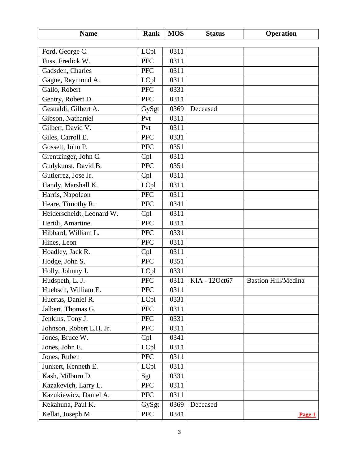<span id="page-2-3"></span><span id="page-2-2"></span><span id="page-2-1"></span><span id="page-2-0"></span>

| <b>Name</b>               | Rank       | <b>MOS</b> | <b>Status</b> | Operation                  |
|---------------------------|------------|------------|---------------|----------------------------|
|                           |            |            |               |                            |
| Ford, George C.           | LCpl       | 0311       |               |                            |
| Fuss, Fredick W.          | <b>PFC</b> | 0311       |               |                            |
| Gadsden, Charles          | <b>PFC</b> | 0311       |               |                            |
| Gagne, Raymond A.         | LCpl       | 0311       |               |                            |
| Gallo, Robert             | <b>PFC</b> | 0331       |               |                            |
| Gentry, Robert D.         | <b>PFC</b> | 0311       |               |                            |
| Gesualdi, Gilbert A.      | GySgt      | 0369       | Deceased      |                            |
| Gibson, Nathaniel         | Pvt        | 0311       |               |                            |
| Gilbert, David V.         | Pvt        | 0311       |               |                            |
| Giles, Carroll E.         | <b>PFC</b> | 0331       |               |                            |
| Gossett, John P.          | <b>PFC</b> | 0351       |               |                            |
| Grentzinger, John C.      | Cpl        | 0311       |               |                            |
| Gudykunst, David B.       | <b>PFC</b> | 0351       |               |                            |
| Gutierrez, Jose Jr.       | Cpl        | 0311       |               |                            |
| Handy, Marshall K.        | LCpl       | 0311       |               |                            |
| Harris, Napoleon          | <b>PFC</b> | 0311       |               |                            |
| Heare, Timothy R.         | <b>PFC</b> | 0341       |               |                            |
| Heiderscheidt, Leonard W. | Cpl        | 0311       |               |                            |
| Heridi, Amartine          | <b>PFC</b> | 0311       |               |                            |
| Hibbard, William L.       | <b>PFC</b> | 0331       |               |                            |
| Hines, Leon               | <b>PFC</b> | 0311       |               |                            |
| Hoadley, Jack R.          | Cpl        | 0311       |               |                            |
| Hodge, John S.            | <b>PFC</b> | 0351       |               |                            |
| Holly, Johnny J.          | LCpl       | 0331       |               |                            |
| Hudspeth, L. J.           | <b>PFC</b> | 0311       | KIA - 12Oct67 | <b>Bastion Hill/Medina</b> |
| Huebsch, William E.       | <b>PFC</b> | 0311       |               |                            |
| Huertas, Daniel R.        | LCpl       | 0331       |               |                            |
| Jalbert, Thomas G.        | PFC        | 0311       |               |                            |
| Jenkins, Tony J.          | <b>PFC</b> | 0331       |               |                            |
| Johnson, Robert L.H. Jr.  | <b>PFC</b> | 0311       |               |                            |
| Jones, Bruce W.           | Cpl        | 0341       |               |                            |
| Jones, John E.            | LCpl       | 0311       |               |                            |
| Jones, Ruben              | PFC        | 0311       |               |                            |
| Junkert, Kenneth E.       | LCpl       | 0311       |               |                            |
| Kash, Milburn D.          | Sgt        | 0331       |               |                            |
| Kazakevich, Larry L.      | <b>PFC</b> | 0311       |               |                            |
| Kazukiewicz, Daniel A.    | <b>PFC</b> | 0311       |               |                            |
| Kekahuna, Paul K.         | GySgt      | 0369       | Deceased      |                            |
| Kellat, Joseph M.         | <b>PFC</b> | 0341       |               | Page 1                     |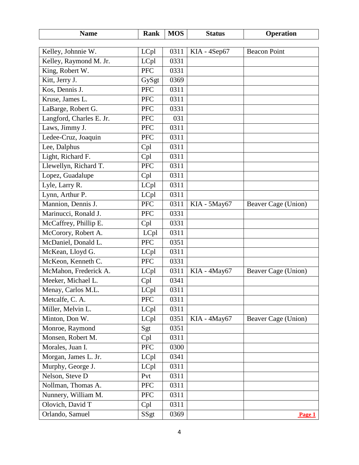<span id="page-3-3"></span><span id="page-3-2"></span><span id="page-3-1"></span><span id="page-3-0"></span>

| <b>Name</b>                               | Rank               | <b>MOS</b> | <b>Status</b> | <b>Operation</b>    |
|-------------------------------------------|--------------------|------------|---------------|---------------------|
|                                           |                    | 0311       |               | <b>Beacon Point</b> |
| Kelley, Johnnie W.                        | LCpl               | 0331       | KIA - 4Sep67  |                     |
| Kelley, Raymond M. Jr.<br>King, Robert W. | LCpl<br><b>PFC</b> | 0331       |               |                     |
| Kitt, Jerry J.                            |                    | 0369       |               |                     |
|                                           | GySgt              |            |               |                     |
| Kos, Dennis J.                            | <b>PFC</b>         | 0311       |               |                     |
| Kruse, James L.                           | <b>PFC</b>         | 0311       |               |                     |
| LaBarge, Robert G.                        | <b>PFC</b>         | 0331       |               |                     |
| Langford, Charles E. Jr.                  | <b>PFC</b>         | 031        |               |                     |
| Laws, Jimmy J.                            | <b>PFC</b>         | 0311       |               |                     |
| Ledee-Cruz, Joaquin                       | <b>PFC</b>         | 0311       |               |                     |
| Lee, Dalphus                              | Cpl                | 0311       |               |                     |
| Light, Richard F.                         | Cpl                | 0311       |               |                     |
| Llewellyn, Richard T.                     | <b>PFC</b>         | 0311       |               |                     |
| Lopez, Guadalupe                          | Cpl                | 0311       |               |                     |
| Lyle, Larry R.                            | LCpl               | 0311       |               |                     |
| Lynn, Arthur P.                           | LCpl               | 0311       |               |                     |
| Mannion, Dennis J.                        | <b>PFC</b>         | 0311       | KIA - 5May67  | Beaver Cage (Union) |
| Marinucci, Ronald J.                      | <b>PFC</b>         | 0331       |               |                     |
| McCaffrey, Phillip E.                     | Cpl                | 0331       |               |                     |
| McCorory, Robert A.                       | LCpl               | 0311       |               |                     |
| McDaniel, Donald L.                       | <b>PFC</b>         | 0351       |               |                     |
| McKean, Lloyd G.                          | LCpl               | 0311       |               |                     |
| McKeon, Kenneth C.                        | <b>PFC</b>         | 0331       |               |                     |
| McMahon, Frederick A.                     | LCpl               | 0311       | KIA - 4May67  | Beaver Cage (Union) |
| Meeker, Michael L.                        | Cpl                | 0341       |               |                     |
| Menay, Carlos M.L.                        | LCpl               | 0311       |               |                     |
| Metcalfe, C. A.                           | <b>PFC</b>         | 0311       |               |                     |
| Miller, Melvin L.                         | LCpl               | 0311       |               |                     |
| Minton, Don W.                            | LCpl               | 0351       | KIA - 4May67  | Beaver Cage (Union) |
| Monroe, Raymond                           | Sgt                | 0351       |               |                     |
| Monsen, Robert M.                         | Cpl                | 0311       |               |                     |
| Morales, Juan I.                          | PFC                | 0300       |               |                     |
| Morgan, James L. Jr.                      | LCpl               | 0341       |               |                     |
| Murphy, George J.                         | LCpl               | 0311       |               |                     |
| Nelson, Steve D                           | Pvt                | 0311       |               |                     |
| Nollman, Thomas A.                        | PFC                | 0311       |               |                     |
| Nunnery, William M.                       | <b>PFC</b>         | 0311       |               |                     |
| Olovich, David T                          | Cpl                | 0311       |               |                     |
| Orlando, Samuel                           | SSgt               | 0369       |               | Page 1              |
|                                           |                    |            |               |                     |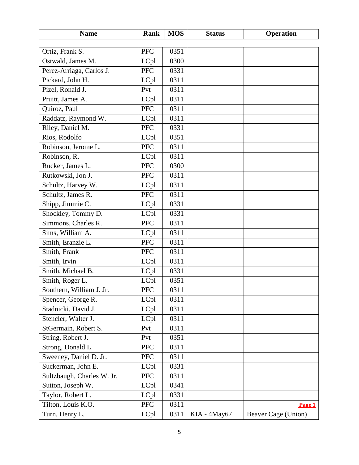<span id="page-4-4"></span><span id="page-4-3"></span><span id="page-4-2"></span><span id="page-4-1"></span><span id="page-4-0"></span>

| <b>Name</b>                | Rank       | <b>MOS</b> | <b>Status</b> | Operation           |
|----------------------------|------------|------------|---------------|---------------------|
|                            |            |            |               |                     |
| Ortiz, Frank S.            | <b>PFC</b> | 0351       |               |                     |
| Ostwald, James M.          | LCpl       | 0300       |               |                     |
| Perez-Arriaga, Carlos J.   | <b>PFC</b> | 0331       |               |                     |
| Pickard, John H.           | LCpl       | 0311       |               |                     |
| Pizel, Ronald J.           | Pvt        | 0311       |               |                     |
| Pruitt, James A.           | LCpl       | 0311       |               |                     |
| Quiroz, Paul               | <b>PFC</b> | 0311       |               |                     |
| Raddatz, Raymond W.        | LCpl       | 0311       |               |                     |
| Riley, Daniel M.           | <b>PFC</b> | 0331       |               |                     |
| Rios, Rodolfo              | LCpl       | 0351       |               |                     |
| Robinson, Jerome L.        | <b>PFC</b> | 0311       |               |                     |
| Robinson, R.               | LCpl       | 0311       |               |                     |
| Rucker, James L.           | <b>PFC</b> | 0300       |               |                     |
| Rutkowski, Jon J.          | <b>PFC</b> | 0311       |               |                     |
| Schultz, Harvey W.         | LCpl       | 0311       |               |                     |
| Schultz, James R.          | <b>PFC</b> | 0311       |               |                     |
| Shipp, Jimmie C.           | LCpl       | 0331       |               |                     |
| Shockley, Tommy D.         | LCpl       | 0331       |               |                     |
| Simmons, Charles R.        | <b>PFC</b> | 0311       |               |                     |
| Sims, William A.           | LCpl       | 0311       |               |                     |
| Smith, Eranzie L.          | <b>PFC</b> | 0311       |               |                     |
| Smith, Frank               | <b>PFC</b> | 0311       |               |                     |
| Smith, Irvin               | LCpl       | 0311       |               |                     |
| Smith, Michael B.          | LCpl       | 0331       |               |                     |
| Smith, Roger L.            | LCpl       | 0351       |               |                     |
| Southern, William J. Jr.   | <b>PFC</b> | 0311       |               |                     |
| Spencer, George R.         | LCpl       | 0311       |               |                     |
| Stadnicki, David J.        | LCpl       | 0311       |               |                     |
| Stencler, Walter J.        | LCpl       | 0311       |               |                     |
| StGermain, Robert S.       | Pvt        | 0311       |               |                     |
| String, Robert J.          | Pvt        | 0351       |               |                     |
| Strong, Donald L.          | <b>PFC</b> | 0311       |               |                     |
| Sweeney, Daniel D. Jr.     | <b>PFC</b> | 0311       |               |                     |
| Suckerman, John E.         | LCpl       | 0331       |               |                     |
| Sultzbaugh, Charles W. Jr. | PFC        | 0311       |               |                     |
| Sutton, Joseph W.          | LCpl       | 0341       |               |                     |
| Taylor, Robert L.          | LCpl       | 0331       |               |                     |
| Tilton, Louis K.O.         | PFC        | 0311       |               | Page 1              |
| Turn, Henry L.             | LCpl       | 0311       | KIA - 4May67  | Beaver Cage (Union) |